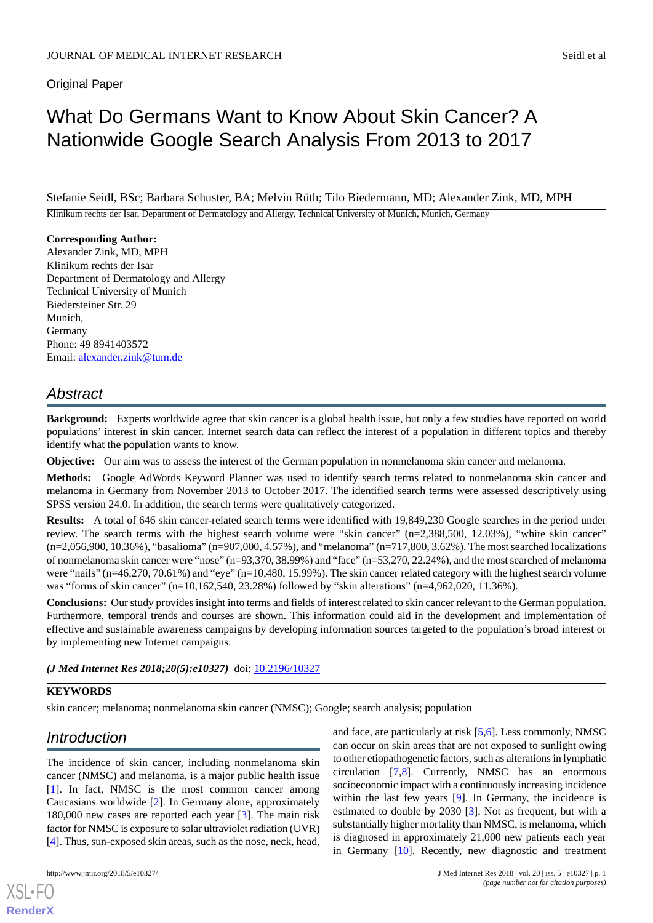**Original Paper** 

# What Do Germans Want to Know About Skin Cancer? A Nationwide Google Search Analysis From 2013 to 2017

Stefanie Seidl, BSc; Barbara Schuster, BA; Melvin Rüth; Tilo Biedermann, MD; Alexander Zink, MD, MPH

Klinikum rechts der Isar, Department of Dermatology and Allergy, Technical University of Munich, Munich, Germany

#### **Corresponding Author:**

Alexander Zink, MD, MPH Klinikum rechts der Isar Department of Dermatology and Allergy Technical University of Munich Biedersteiner Str. 29 Munich, Germany Phone: 49 8941403572 Email: [alexander.zink@tum.de](mailto:alexander.zink@tum.de)

## *Abstract*

**Background:** Experts worldwide agree that skin cancer is a global health issue, but only a few studies have reported on world populations' interest in skin cancer. Internet search data can reflect the interest of a population in different topics and thereby identify what the population wants to know.

**Objective:** Our aim was to assess the interest of the German population in nonmelanoma skin cancer and melanoma.

**Methods:** Google AdWords Keyword Planner was used to identify search terms related to nonmelanoma skin cancer and melanoma in Germany from November 2013 to October 2017. The identified search terms were assessed descriptively using SPSS version 24.0. In addition, the search terms were qualitatively categorized.

**Results:** A total of 646 skin cancer-related search terms were identified with 19,849,230 Google searches in the period under review. The search terms with the highest search volume were "skin cancer" (n=2,388,500, 12.03%), "white skin cancer" (n=2,056,900, 10.36%), "basalioma" (n=907,000, 4.57%), and "melanoma" (n=717,800, 3.62%). The most searched localizations of nonmelanoma skin cancer were "nose" (n=93,370, 38.99%) and "face" (n=53,270, 22.24%), and the most searched of melanoma were "nails" (n=46,270, 70.61%) and "eye" (n=10,480, 15.99%). The skin cancer related category with the highest search volume was "forms of skin cancer" (n=10,162,540, 23.28%) followed by "skin alterations" (n=4,962,020, 11.36%).

**Conclusions:** Our study provides insight into terms and fields of interest related to skin cancer relevant to the German population. Furthermore, temporal trends and courses are shown. This information could aid in the development and implementation of effective and sustainable awareness campaigns by developing information sources targeted to the population's broad interest or by implementing new Internet campaigns.

#### *(J Med Internet Res 2018;20(5):e10327)* doi:  $10.2196/10327$

### **KEYWORDS**

skin cancer; melanoma; nonmelanoma skin cancer (NMSC); Google; search analysis; population

## *Introduction*

The incidence of skin cancer, including nonmelanoma skin cancer (NMSC) and melanoma, is a major public health issue [[1\]](#page-5-0). In fact, NMSC is the most common cancer among Caucasians worldwide [\[2](#page-5-1)]. In Germany alone, approximately 180,000 new cases are reported each year [\[3](#page-5-2)]. The main risk factor for NMSC is exposure to solar ultraviolet radiation (UVR) [[4\]](#page-5-3). Thus, sun-exposed skin areas, such as the nose, neck, head,

[XSL](http://www.w3.org/Style/XSL)•FO **[RenderX](http://www.renderx.com/)**

and face, are particularly at risk [[5,](#page-5-4)[6](#page-5-5)]. Less commonly, NMSC can occur on skin areas that are not exposed to sunlight owing to other etiopathogenetic factors, such as alterations in lymphatic circulation [[7,](#page-5-6)[8](#page-5-7)]. Currently, NMSC has an enormous socioeconomic impact with a continuously increasing incidence within the last few years [[9\]](#page-5-8). In Germany, the incidence is estimated to double by 2030 [\[3](#page-5-2)]. Not as frequent, but with a substantially higher mortality than NMSC, is melanoma, which is diagnosed in approximately 21,000 new patients each year in Germany [[10\]](#page-6-0). Recently, new diagnostic and treatment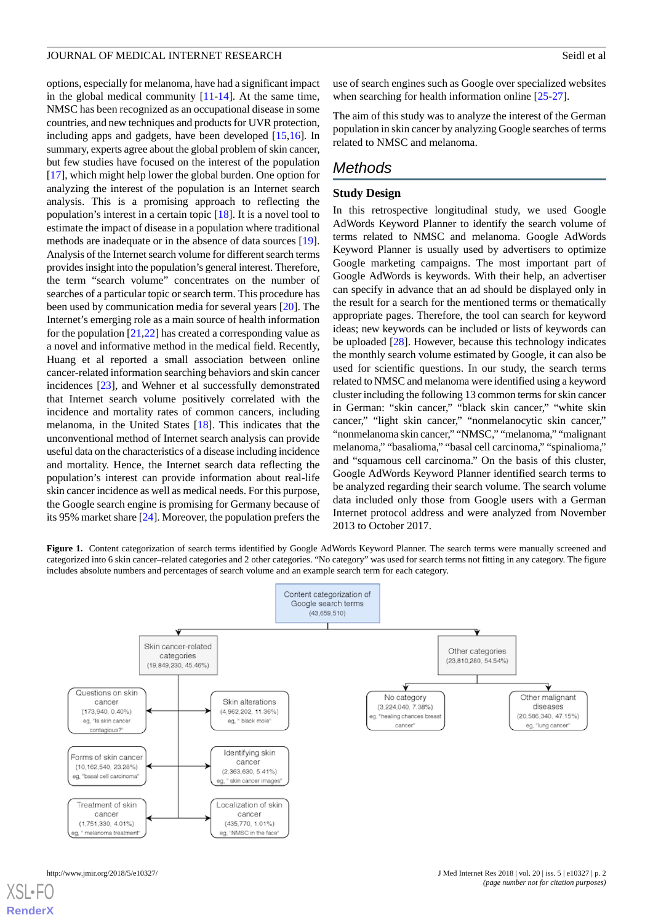options, especially for melanoma, have had a significant impact in the global medical community [[11-](#page-6-1)[14\]](#page-6-2). At the same time, NMSC has been recognized as an occupational disease in some countries, and new techniques and products for UVR protection, including apps and gadgets, have been developed [[15,](#page-6-3)[16](#page-6-4)]. In summary, experts agree about the global problem of skin cancer, but few studies have focused on the interest of the population [[17\]](#page-6-5), which might help lower the global burden. One option for analyzing the interest of the population is an Internet search analysis. This is a promising approach to reflecting the population's interest in a certain topic [[18\]](#page-6-6). It is a novel tool to estimate the impact of disease in a population where traditional methods are inadequate or in the absence of data sources [[19\]](#page-6-7). Analysis of the Internet search volume for different search terms provides insight into the population's general interest. Therefore, the term "search volume" concentrates on the number of searches of a particular topic or search term. This procedure has been used by communication media for several years [\[20](#page-6-8)]. The Internet's emerging role as a main source of health information for the population  $[21,22]$  $[21,22]$  $[21,22]$  has created a corresponding value as a novel and informative method in the medical field. Recently, Huang et al reported a small association between online cancer-related information searching behaviors and skin cancer incidences [[23\]](#page-6-11), and Wehner et al successfully demonstrated that Internet search volume positively correlated with the incidence and mortality rates of common cancers, including melanoma, in the United States [\[18](#page-6-6)]. This indicates that the unconventional method of Internet search analysis can provide useful data on the characteristics of a disease including incidence and mortality. Hence, the Internet search data reflecting the population's interest can provide information about real-life skin cancer incidence as well as medical needs. For this purpose, the Google search engine is promising for Germany because of its 95% market share [\[24](#page-6-12)]. Moreover, the population prefers the

use of search engines such as Google over specialized websites when searching for health information online [\[25](#page-6-13)-[27\]](#page-6-14).

The aim of this study was to analyze the interest of the German population in skin cancer by analyzing Google searches of terms related to NMSC and melanoma.

## *Methods*

#### **Study Design**

In this retrospective longitudinal study, we used Google AdWords Keyword Planner to identify the search volume of terms related to NMSC and melanoma. Google AdWords Keyword Planner is usually used by advertisers to optimize Google marketing campaigns. The most important part of Google AdWords is keywords. With their help, an advertiser can specify in advance that an ad should be displayed only in the result for a search for the mentioned terms or thematically appropriate pages. Therefore, the tool can search for keyword ideas; new keywords can be included or lists of keywords can be uploaded [[28\]](#page-6-15). However, because this technology indicates the monthly search volume estimated by Google, it can also be used for scientific questions. In our study, the search terms related to NMSC and melanoma were identified using a keyword cluster including the following 13 common terms for skin cancer in German: "skin cancer," "black skin cancer," "white skin cancer," "light skin cancer," "nonmelanocytic skin cancer," "nonmelanoma skin cancer," "NMSC," "melanoma," "malignant melanoma," "basalioma," "basal cell carcinoma," "spinalioma," and "squamous cell carcinoma." On the basis of this cluster, Google AdWords Keyword Planner identified search terms to be analyzed regarding their search volume. The search volume data included only those from Google users with a German Internet protocol address and were analyzed from November 2013 to October 2017.

<span id="page-1-0"></span>Figure 1. Content categorization of search terms identified by Google AdWords Keyword Planner. The search terms were manually screened and categorized into 6 skin cancer–related categories and 2 other categories. "No category" was used for search terms not fitting in any category. The figure includes absolute numbers and percentages of search volume and an example search term for each category.

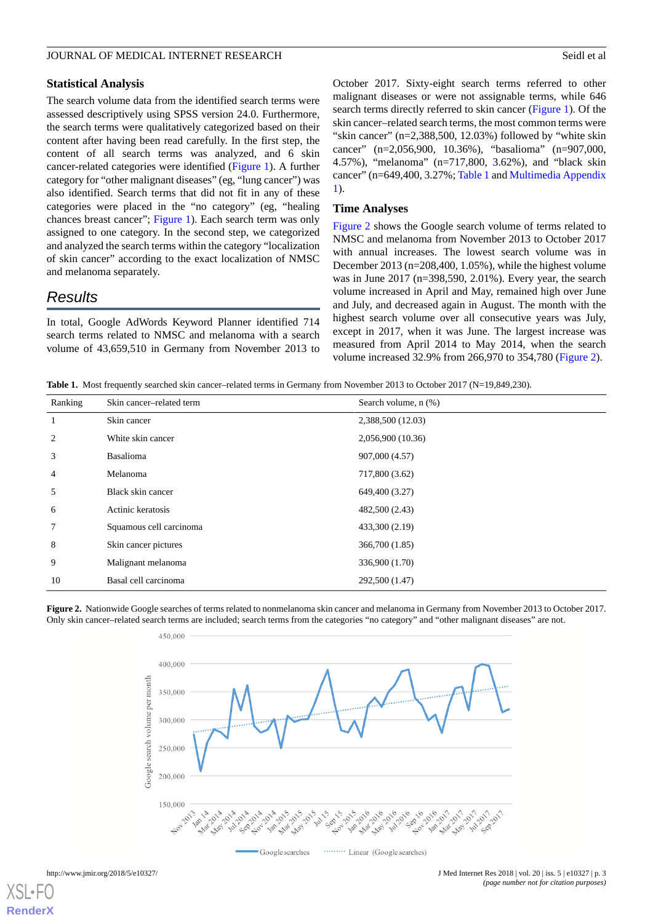#### **Statistical Analysis**

The search volume data from the identified search terms were assessed descriptively using SPSS version 24.0. Furthermore, the search terms were qualitatively categorized based on their content after having been read carefully. In the first step, the content of all search terms was analyzed, and 6 skin cancer-related categories were identified ([Figure 1\)](#page-1-0). A further category for "other malignant diseases" (eg, "lung cancer") was also identified. Search terms that did not fit in any of these categories were placed in the "no category" (eg, "healing chances breast cancer"; [Figure 1](#page-1-0)). Each search term was only assigned to one category. In the second step, we categorized and analyzed the search terms within the category "localization of skin cancer" according to the exact localization of NMSC and melanoma separately.

## *Results*

<span id="page-2-0"></span>In total, Google AdWords Keyword Planner identified 714 search terms related to NMSC and melanoma with a search volume of 43,659,510 in Germany from November 2013 to October 2017. Sixty-eight search terms referred to other malignant diseases or were not assignable terms, while 646 search terms directly referred to skin cancer [\(Figure 1](#page-1-0)). Of the skin cancer–related search terms, the most common terms were "skin cancer" (n=2,388,500, 12.03%) followed by "white skin cancer" (n=2,056,900, 10.36%), "basalioma" (n=907,000, 4.57%), "melanoma" (n=717,800, 3.62%), and "black skin cancer" (n=649,400, 3.27%; [Table 1](#page-2-0) and [Multimedia Appendix](#page-5-9) [1\)](#page-5-9).

#### **Time Analyses**

[Figure 2](#page-2-1) shows the Google search volume of terms related to NMSC and melanoma from November 2013 to October 2017 with annual increases. The lowest search volume was in December 2013 (n=208,400, 1.05%), while the highest volume was in June 2017 (n=398,590, 2.01%). Every year, the search volume increased in April and May, remained high over June and July, and decreased again in August. The month with the highest search volume over all consecutive years was July, except in 2017, when it was June. The largest increase was measured from April 2014 to May 2014, when the search volume increased 32.9% from 266,970 to 354,780 [\(Figure 2\)](#page-2-1).

**Table 1.** Most frequently searched skin cancer–related terms in Germany from November 2013 to October 2017 (N=19,849,230).

| Ranking        | Skin cancer-related term | Search volume, n (%) |
|----------------|--------------------------|----------------------|
| $\mathbf{1}$   | Skin cancer              | 2,388,500 (12.03)    |
| 2              | White skin cancer        | 2,056,900 (10.36)    |
| 3              | <b>Basalioma</b>         | 907,000 (4.57)       |
| $\overline{4}$ | Melanoma                 | 717,800 (3.62)       |
| 5              | Black skin cancer        | 649,400 (3.27)       |
| 6              | Actinic keratosis        | 482,500 (2.43)       |
| 7              | Squamous cell carcinoma  | 433,300 (2.19)       |
| 8              | Skin cancer pictures     | 366,700 (1.85)       |
| 9              | Malignant melanoma       | 336,900 (1.70)       |
| 10             | Basal cell carcinoma     | 292,500 (1.47)       |

<span id="page-2-1"></span>**Figure 2.** Nationwide Google searches of terms related to nonmelanoma skin cancer and melanoma in Germany from November 2013 to October 2017. Only skin cancer–related search terms are included; search terms from the categories "no category" and "other malignant diseases" are not.

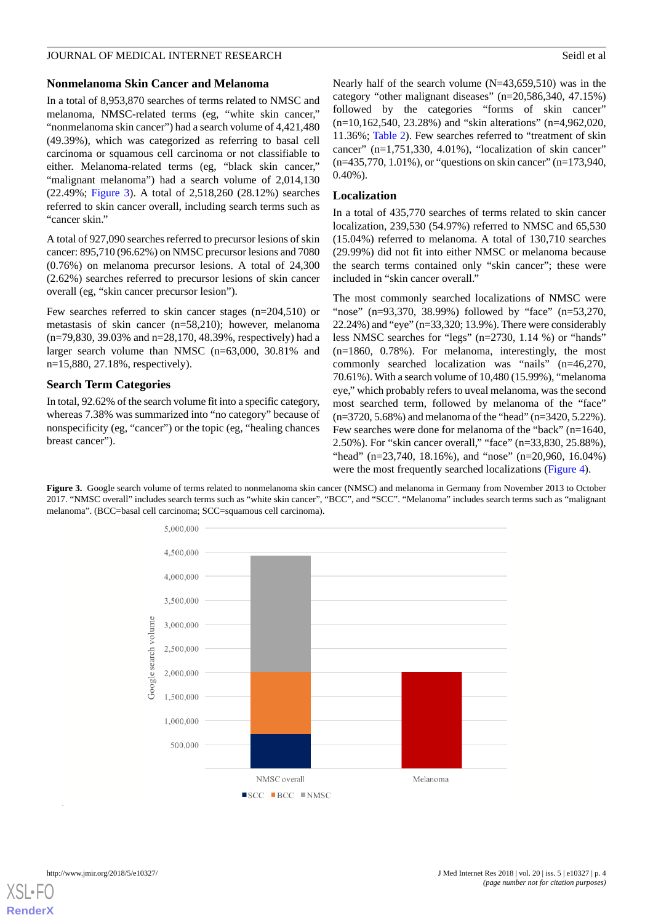#### **Nonmelanoma Skin Cancer and Melanoma**

In a total of 8,953,870 searches of terms related to NMSC and melanoma, NMSC-related terms (eg, "white skin cancer," "nonmelanoma skin cancer") had a search volume of 4,421,480 (49.39%), which was categorized as referring to basal cell carcinoma or squamous cell carcinoma or not classifiable to either. Melanoma-related terms (eg, "black skin cancer," "malignant melanoma") had a search volume of 2,014,130 (22.49%; [Figure 3](#page-3-0)). A total of 2,518,260 (28.12%) searches referred to skin cancer overall, including search terms such as "cancer skin."

A total of 927,090 searches referred to precursor lesions of skin cancer: 895,710 (96.62%) on NMSC precursor lesions and 7080 (0.76%) on melanoma precursor lesions. A total of 24,300 (2.62%) searches referred to precursor lesions of skin cancer overall (eg, "skin cancer precursor lesion").

Few searches referred to skin cancer stages (n=204,510) or metastasis of skin cancer (n=58,210); however, melanoma (n=79,830, 39.03% and n=28,170, 48.39%, respectively) had a larger search volume than NMSC (n=63,000, 30.81% and n=15,880, 27.18%, respectively).

#### **Search Term Categories**

<span id="page-3-0"></span>In total, 92.62% of the search volume fit into a specific category, whereas 7.38% was summarized into "no category" because of nonspecificity (eg, "cancer") or the topic (eg, "healing chances breast cancer").

Nearly half of the search volume (N=43,659,510) was in the category "other malignant diseases" (n=20,586,340, 47.15%) followed by the categories "forms of skin cancer"

(n=10,162,540, 23.28%) and "skin alterations" (n=4,962,020, 11.36%; [Table 2\)](#page-4-0). Few searches referred to "treatment of skin cancer" (n=1,751,330, 4.01%), "localization of skin cancer" (n=435,770, 1.01%), or "questions on skin cancer" (n=173,940, 0.40%).

#### **Localization**

In a total of 435,770 searches of terms related to skin cancer localization, 239,530 (54.97%) referred to NMSC and 65,530 (15.04%) referred to melanoma. A total of 130,710 searches (29.99%) did not fit into either NMSC or melanoma because the search terms contained only "skin cancer"; these were included in "skin cancer overall."

The most commonly searched localizations of NMSC were "nose" (n=93,370, 38.99%) followed by "face" (n=53,270, 22.24%) and "eye" (n=33,320; 13.9%). There were considerably less NMSC searches for "legs" (n=2730, 1.14 %) or "hands" (n=1860, 0.78%). For melanoma, interestingly, the most commonly searched localization was "nails" (n=46,270, 70.61%). With a search volume of 10,480 (15.99%), "melanoma eye," which probably refers to uveal melanoma, was the second most searched term, followed by melanoma of the "face" (n=3720, 5.68%) and melanoma of the "head" (n=3420, 5.22%). Few searches were done for melanoma of the "back" (n=1640, 2.50%). For "skin cancer overall," "face" (n=33,830, 25.88%), "head" (n=23,740, 18.16%), and "nose" (n=20,960, 16.04%) were the most frequently searched localizations ([Figure 4](#page-4-1)).

**Figure 3.** Google search volume of terms related to nonmelanoma skin cancer (NMSC) and melanoma in Germany from November 2013 to October 2017. "NMSC overall" includes search terms such as "white skin cancer", "BCC", and "SCC". "Melanoma" includes search terms such as "malignant melanoma". (BCC=basal cell carcinoma; SCC=squamous cell carcinoma).

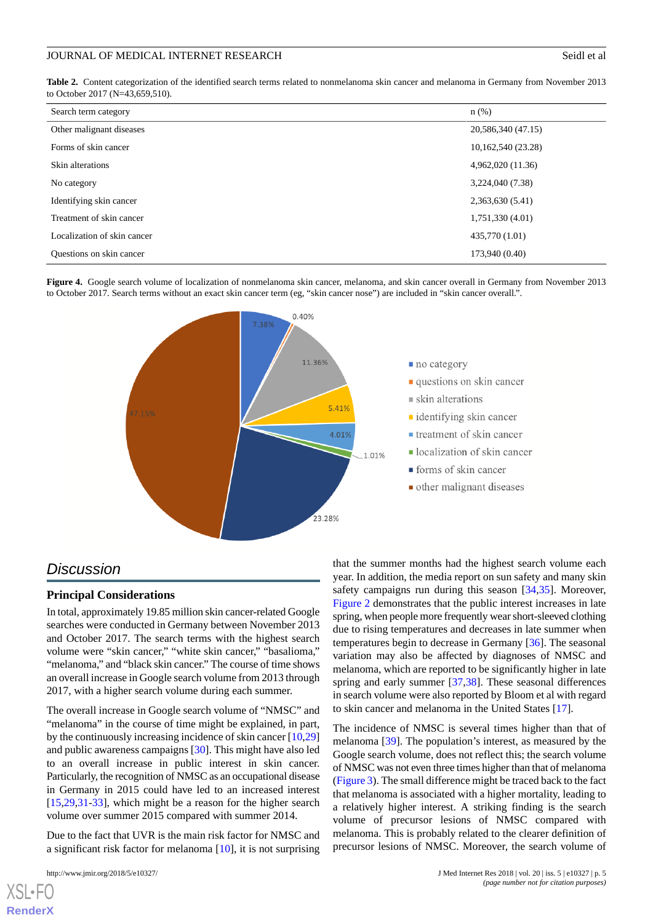<span id="page-4-0"></span>**Table 2.** Content categorization of the identified search terms related to nonmelanoma skin cancer and melanoma in Germany from November 2013 to October 2017 (N=43,659,510).

| Search term category        | $n$ (%)            |
|-----------------------------|--------------------|
| Other malignant diseases    | 20,586,340 (47.15) |
| Forms of skin cancer        | 10,162,540 (23.28) |
| Skin alterations            | 4,962,020 (11.36)  |
| No category                 | 3,224,040 (7.38)   |
| Identifying skin cancer     | 2,363,630 (5.41)   |
| Treatment of skin cancer    | 1,751,330 (4.01)   |
| Localization of skin cancer | 435,770 (1.01)     |
| Questions on skin cancer    | 173,940 (0.40)     |

<span id="page-4-1"></span>**Figure 4.** Google search volume of localization of nonmelanoma skin cancer, melanoma, and skin cancer overall in Germany from November 2013 to October 2017. Search terms without an exact skin cancer term (eg, "skin cancer nose") are included in "skin cancer overall.".



## *Discussion*

#### **Principal Considerations**

In total, approximately 19.85 million skin cancer-related Google searches were conducted in Germany between November 2013 and October 2017. The search terms with the highest search volume were "skin cancer," "white skin cancer," "basalioma," "melanoma," and "black skin cancer." The course of time shows an overall increase in Google search volume from 2013 through 2017, with a higher search volume during each summer.

The overall increase in Google search volume of "NMSC" and "melanoma" in the course of time might be explained, in part, by the continuously increasing incidence of skin cancer [[10](#page-6-0)[,29](#page-6-16)] and public awareness campaigns [\[30](#page-6-17)]. This might have also led to an overall increase in public interest in skin cancer. Particularly, the recognition of NMSC as an occupational disease in Germany in 2015 could have led to an increased interest [[15](#page-6-3)[,29](#page-6-16),[31](#page-6-18)[-33](#page-7-0)], which might be a reason for the higher search volume over summer 2015 compared with summer 2014.

Due to the fact that UVR is the main risk factor for NMSC and a significant risk factor for melanoma [\[10](#page-6-0)], it is not surprising

[XSL](http://www.w3.org/Style/XSL)•FO **[RenderX](http://www.renderx.com/)**

that the summer months had the highest search volume each year. In addition, the media report on sun safety and many skin safety campaigns run during this season [\[34](#page-7-1),[35\]](#page-7-2). Moreover, [Figure 2](#page-2-1) demonstrates that the public interest increases in late spring, when people more frequently wear short-sleeved clothing due to rising temperatures and decreases in late summer when temperatures begin to decrease in Germany [[36\]](#page-7-3). The seasonal variation may also be affected by diagnoses of NMSC and melanoma, which are reported to be significantly higher in late spring and early summer [\[37](#page-7-4),[38\]](#page-7-5). These seasonal differences in search volume were also reported by Bloom et al with regard to skin cancer and melanoma in the United States [\[17](#page-6-5)].

The incidence of NMSC is several times higher than that of melanoma [\[39](#page-7-6)]. The population's interest, as measured by the Google search volume, does not reflect this; the search volume of NMSC was not even three times higher than that of melanoma ([Figure 3\)](#page-3-0). The small difference might be traced back to the fact that melanoma is associated with a higher mortality, leading to a relatively higher interest. A striking finding is the search volume of precursor lesions of NMSC compared with melanoma. This is probably related to the clearer definition of precursor lesions of NMSC. Moreover, the search volume of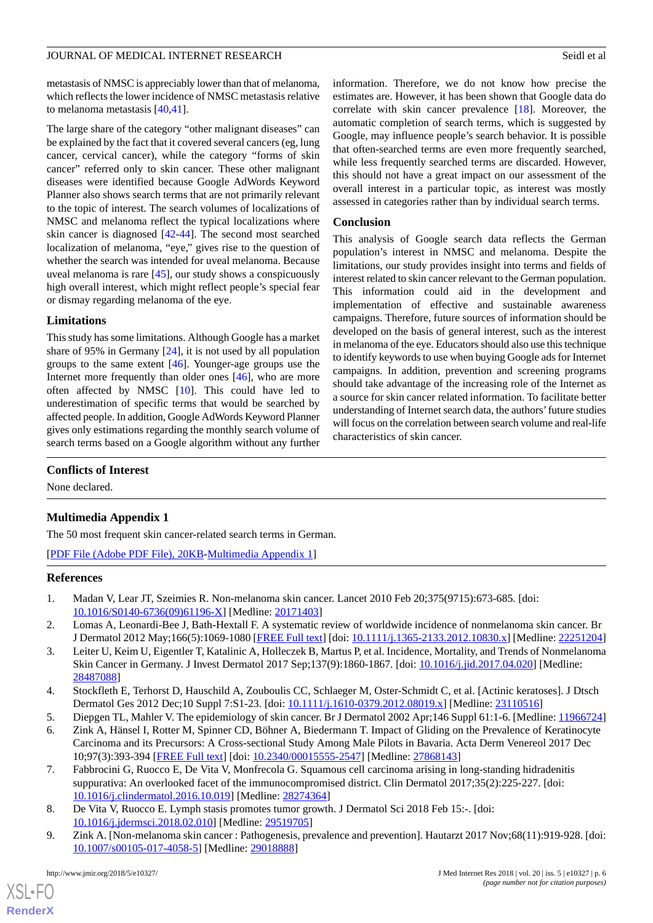metastasis of NMSC is appreciably lower than that of melanoma, which reflects the lower incidence of NMSC metastasis relative to melanoma metastasis [[40](#page-7-7)[,41](#page-7-8)].

The large share of the category "other malignant diseases" can be explained by the fact that it covered several cancers (eg, lung cancer, cervical cancer), while the category "forms of skin cancer" referred only to skin cancer. These other malignant diseases were identified because Google AdWords Keyword Planner also shows search terms that are not primarily relevant to the topic of interest. The search volumes of localizations of NMSC and melanoma reflect the typical localizations where skin cancer is diagnosed [\[42](#page-7-9)-[44\]](#page-7-10). The second most searched localization of melanoma, "eye," gives rise to the question of whether the search was intended for uveal melanoma. Because uveal melanoma is rare [[45\]](#page-7-11), our study shows a conspicuously high overall interest, which might reflect people's special fear or dismay regarding melanoma of the eye.

#### **Limitations**

This study has some limitations. Although Google has a market share of 95% in Germany [[24\]](#page-6-12), it is not used by all population groups to the same extent [[46\]](#page-7-12). Younger-age groups use the Internet more frequently than older ones [\[46](#page-7-12)], who are more often affected by NMSC [[10\]](#page-6-0). This could have led to underestimation of specific terms that would be searched by affected people. In addition, Google AdWords Keyword Planner gives only estimations regarding the monthly search volume of search terms based on a Google algorithm without any further

information. Therefore, we do not know how precise the estimates are. However, it has been shown that Google data do correlate with skin cancer prevalence [[18\]](#page-6-6). Moreover, the automatic completion of search terms, which is suggested by Google, may influence people's search behavior. It is possible that often-searched terms are even more frequently searched, while less frequently searched terms are discarded. However, this should not have a great impact on our assessment of the overall interest in a particular topic, as interest was mostly assessed in categories rather than by individual search terms.

#### **Conclusion**

This analysis of Google search data reflects the German population's interest in NMSC and melanoma. Despite the limitations, our study provides insight into terms and fields of interest related to skin cancer relevant to the German population. This information could aid in the development and implementation of effective and sustainable awareness campaigns. Therefore, future sources of information should be developed on the basis of general interest, such as the interest in melanoma of the eye. Educators should also use this technique to identify keywords to use when buying Google ads for Internet campaigns. In addition, prevention and screening programs should take advantage of the increasing role of the Internet as a source for skin cancer related information. To facilitate better understanding of Internet search data, the authors'future studies will focus on the correlation between search volume and real-life characteristics of skin cancer.

### <span id="page-5-9"></span>**Conflicts of Interest**

None declared.

### **Multimedia Appendix 1**

<span id="page-5-0"></span>The 50 most frequent skin cancer-related search terms in German.

<span id="page-5-1"></span>[[PDF File \(Adobe PDF File\), 20KB-Multimedia Appendix 1](https://jmir.org/api/download?alt_name=jmir_v20i5e10327_app1.pdf&filename=8b537df98be1a82cb79191784ba9988d.pdf)]

#### <span id="page-5-2"></span>**References**

- 1. Madan V, Lear JT, Szeimies R. Non-melanoma skin cancer. Lancet 2010 Feb 20;375(9715):673-685. [doi: [10.1016/S0140-6736\(09\)61196-X\]](http://dx.doi.org/10.1016/S0140-6736(09)61196-X) [Medline: [20171403\]](http://www.ncbi.nlm.nih.gov/entrez/query.fcgi?cmd=Retrieve&db=PubMed&list_uids=20171403&dopt=Abstract)
- <span id="page-5-3"></span>2. Lomas A, Leonardi-Bee J, Bath-Hextall F. A systematic review of worldwide incidence of nonmelanoma skin cancer. Br J Dermatol 2012 May;166(5):1069-1080 [\[FREE Full text](https://dx.doi.org/10.1111/j.1365-2133.2012.10830.x)] [doi: [10.1111/j.1365-2133.2012.10830.x](http://dx.doi.org/10.1111/j.1365-2133.2012.10830.x)] [Medline: [22251204](http://www.ncbi.nlm.nih.gov/entrez/query.fcgi?cmd=Retrieve&db=PubMed&list_uids=22251204&dopt=Abstract)]
- <span id="page-5-5"></span><span id="page-5-4"></span>3. Leiter U, Keim U, Eigentler T, Katalinic A, Holleczek B, Martus P, et al. Incidence, Mortality, and Trends of Nonmelanoma Skin Cancer in Germany. J Invest Dermatol 2017 Sep;137(9):1860-1867. [doi: [10.1016/j.jid.2017.04.020\]](http://dx.doi.org/10.1016/j.jid.2017.04.020) [Medline: [28487088](http://www.ncbi.nlm.nih.gov/entrez/query.fcgi?cmd=Retrieve&db=PubMed&list_uids=28487088&dopt=Abstract)]
- <span id="page-5-6"></span>4. Stockfleth E, Terhorst D, Hauschild A, Zouboulis CC, Schlaeger M, Oster-Schmidt C, et al. [Actinic keratoses]. J Dtsch Dermatol Ges 2012 Dec;10 Suppl 7:S1-23. [doi: [10.1111/j.1610-0379.2012.08019.x](http://dx.doi.org/10.1111/j.1610-0379.2012.08019.x)] [Medline: [23110516\]](http://www.ncbi.nlm.nih.gov/entrez/query.fcgi?cmd=Retrieve&db=PubMed&list_uids=23110516&dopt=Abstract)
- 5. Diepgen TL, Mahler V. The epidemiology of skin cancer. Br J Dermatol 2002 Apr;146 Suppl 61:1-6. [Medline: [11966724](http://www.ncbi.nlm.nih.gov/entrez/query.fcgi?cmd=Retrieve&db=PubMed&list_uids=11966724&dopt=Abstract)]
- <span id="page-5-7"></span>6. Zink A, Hänsel I, Rotter M, Spinner CD, Böhner A, Biedermann T. Impact of Gliding on the Prevalence of Keratinocyte Carcinoma and its Precursors: A Cross-sectional Study Among Male Pilots in Bavaria. Acta Derm Venereol 2017 Dec 10;97(3):393-394 [[FREE Full text](https://www.medicaljournals.se/acta/content/abstract/10.2340/00015555-2547)] [doi: [10.2340/00015555-2547](http://dx.doi.org/10.2340/00015555-2547)] [Medline: [27868143\]](http://www.ncbi.nlm.nih.gov/entrez/query.fcgi?cmd=Retrieve&db=PubMed&list_uids=27868143&dopt=Abstract)
- <span id="page-5-8"></span>7. Fabbrocini G, Ruocco E, De Vita V, Monfrecola G. Squamous cell carcinoma arising in long-standing hidradenitis suppurativa: An overlooked facet of the immunocompromised district. Clin Dermatol 2017;35(2):225-227. [doi: [10.1016/j.clindermatol.2016.10.019](http://dx.doi.org/10.1016/j.clindermatol.2016.10.019)] [Medline: [28274364\]](http://www.ncbi.nlm.nih.gov/entrez/query.fcgi?cmd=Retrieve&db=PubMed&list_uids=28274364&dopt=Abstract)
- 8. De Vita V, Ruocco E. Lymph stasis promotes tumor growth. J Dermatol Sci 2018 Feb 15:-. [doi: [10.1016/j.jdermsci.2018.02.010](http://dx.doi.org/10.1016/j.jdermsci.2018.02.010)] [Medline: [29519705\]](http://www.ncbi.nlm.nih.gov/entrez/query.fcgi?cmd=Retrieve&db=PubMed&list_uids=29519705&dopt=Abstract)
- 9. Zink A. [Non-melanoma skin cancer : Pathogenesis, prevalence and prevention]. Hautarzt 2017 Nov;68(11):919-928. [doi: [10.1007/s00105-017-4058-5\]](http://dx.doi.org/10.1007/s00105-017-4058-5) [Medline: [29018888](http://www.ncbi.nlm.nih.gov/entrez/query.fcgi?cmd=Retrieve&db=PubMed&list_uids=29018888&dopt=Abstract)]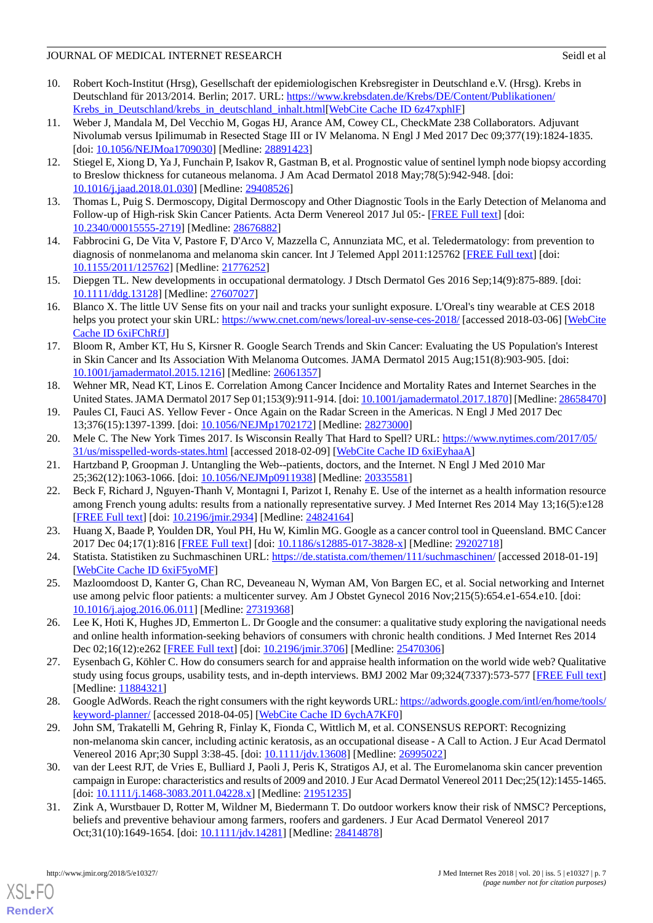#### JOURNAL OF MEDICAL INTERNET RESEARCH Seidlet also seidlet also seidlet also seidlet also seidlet also seidlet a

- <span id="page-6-0"></span>10. Robert Koch-Institut (Hrsg), Gesellschaft der epidemiologischen Krebsregister in Deutschland e.V. (Hrsg). Krebs in Deutschland für 2013/2014. Berlin; 2017. URL: [https://www.krebsdaten.de/Krebs/DE/Content/Publikationen/](https://www.krebsdaten.de/Krebs/DE/Content/Publikationen/Krebs_in_Deutschland/krebs_in_deutschland_inhalt.html) [Krebs\\_in\\_Deutschland/krebs\\_in\\_deutschland\\_inhalt.html\[](https://www.krebsdaten.de/Krebs/DE/Content/Publikationen/Krebs_in_Deutschland/krebs_in_deutschland_inhalt.html)[WebCite Cache ID 6z47xphlF\]](http://www.webcitation.org/

                                6z47xphlF)
- <span id="page-6-1"></span>11. Weber J, Mandala M, Del Vecchio M, Gogas HJ, Arance AM, Cowey CL, CheckMate 238 Collaborators. Adjuvant Nivolumab versus Ipilimumab in Resected Stage III or IV Melanoma. N Engl J Med 2017 Dec 09;377(19):1824-1835. [doi: [10.1056/NEJMoa1709030\]](http://dx.doi.org/10.1056/NEJMoa1709030) [Medline: [28891423\]](http://www.ncbi.nlm.nih.gov/entrez/query.fcgi?cmd=Retrieve&db=PubMed&list_uids=28891423&dopt=Abstract)
- 12. Stiegel E, Xiong D, Ya J, Funchain P, Isakov R, Gastman B, et al. Prognostic value of sentinel lymph node biopsy according to Breslow thickness for cutaneous melanoma. J Am Acad Dermatol 2018 May;78(5):942-948. [doi: [10.1016/j.jaad.2018.01.030](http://dx.doi.org/10.1016/j.jaad.2018.01.030)] [Medline: [29408526](http://www.ncbi.nlm.nih.gov/entrez/query.fcgi?cmd=Retrieve&db=PubMed&list_uids=29408526&dopt=Abstract)]
- <span id="page-6-2"></span>13. Thomas L, Puig S. Dermoscopy, Digital Dermoscopy and Other Diagnostic Tools in the Early Detection of Melanoma and Follow-up of High-risk Skin Cancer Patients. Acta Derm Venereol 2017 Jul 05:- [\[FREE Full text\]](https://www.medicaljournals.se/acta/content/abstract/10.2340/00015555-2719) [doi: [10.2340/00015555-2719](http://dx.doi.org/10.2340/00015555-2719)] [Medline: [28676882\]](http://www.ncbi.nlm.nih.gov/entrez/query.fcgi?cmd=Retrieve&db=PubMed&list_uids=28676882&dopt=Abstract)
- <span id="page-6-3"></span>14. Fabbrocini G, De Vita V, Pastore F, D'Arco V, Mazzella C, Annunziata MC, et al. Teledermatology: from prevention to diagnosis of nonmelanoma and melanoma skin cancer. Int J Telemed Appl 2011:125762 [[FREE Full text\]](https://dx.doi.org/10.1155/2011/125762) [doi: [10.1155/2011/125762\]](http://dx.doi.org/10.1155/2011/125762) [Medline: [21776252](http://www.ncbi.nlm.nih.gov/entrez/query.fcgi?cmd=Retrieve&db=PubMed&list_uids=21776252&dopt=Abstract)]
- <span id="page-6-4"></span>15. Diepgen TL. New developments in occupational dermatology. J Dtsch Dermatol Ges 2016 Sep;14(9):875-889. [doi: [10.1111/ddg.13128](http://dx.doi.org/10.1111/ddg.13128)] [Medline: [27607027](http://www.ncbi.nlm.nih.gov/entrez/query.fcgi?cmd=Retrieve&db=PubMed&list_uids=27607027&dopt=Abstract)]
- <span id="page-6-5"></span>16. Blanco X. The little UV Sense fits on your nail and tracks your sunlight exposure. L'Oreal's tiny wearable at CES 2018 helps you protect your skin URL:<https://www.cnet.com/news/loreal-uv-sense-ces-2018/> [accessed 2018-03-06] [\[WebCite](http://www.webcitation.org/

                                6xiFChRfJ) [Cache ID 6xiFChRfJ\]](http://www.webcitation.org/

                                6xiFChRfJ)
- <span id="page-6-6"></span>17. Bloom R, Amber KT, Hu S, Kirsner R. Google Search Trends and Skin Cancer: Evaluating the US Population's Interest in Skin Cancer and Its Association With Melanoma Outcomes. JAMA Dermatol 2015 Aug;151(8):903-905. [doi: [10.1001/jamadermatol.2015.1216\]](http://dx.doi.org/10.1001/jamadermatol.2015.1216) [Medline: [26061357\]](http://www.ncbi.nlm.nih.gov/entrez/query.fcgi?cmd=Retrieve&db=PubMed&list_uids=26061357&dopt=Abstract)
- <span id="page-6-8"></span><span id="page-6-7"></span>18. Wehner MR, Nead KT, Linos E. Correlation Among Cancer Incidence and Mortality Rates and Internet Searches in the United States. JAMA Dermatol 2017 Sep 01;153(9):911-914. [doi: [10.1001/jamadermatol.2017.1870\]](http://dx.doi.org/10.1001/jamadermatol.2017.1870) [Medline: [28658470\]](http://www.ncbi.nlm.nih.gov/entrez/query.fcgi?cmd=Retrieve&db=PubMed&list_uids=28658470&dopt=Abstract)
- <span id="page-6-9"></span>19. Paules CI, Fauci AS. Yellow Fever - Once Again on the Radar Screen in the Americas. N Engl J Med 2017 Dec 13;376(15):1397-1399. [doi: [10.1056/NEJMp1702172\]](http://dx.doi.org/10.1056/NEJMp1702172) [Medline: [28273000\]](http://www.ncbi.nlm.nih.gov/entrez/query.fcgi?cmd=Retrieve&db=PubMed&list_uids=28273000&dopt=Abstract)
- <span id="page-6-10"></span>20. Mele C. The New York Times 2017. Is Wisconsin Really That Hard to Spell? URL: [https://www.nytimes.com/2017/05/](https://www.nytimes.com/2017/05/31/us/misspelled-words-states.html) [31/us/misspelled-words-states.html](https://www.nytimes.com/2017/05/31/us/misspelled-words-states.html) [accessed 2018-02-09] [[WebCite Cache ID 6xiEyhaaA\]](http://www.webcitation.org/

                                6xiEyhaaA)
- 21. Hartzband P, Groopman J. Untangling the Web--patients, doctors, and the Internet. N Engl J Med 2010 Mar 25;362(12):1063-1066. [doi: [10.1056/NEJMp0911938\]](http://dx.doi.org/10.1056/NEJMp0911938) [Medline: [20335581\]](http://www.ncbi.nlm.nih.gov/entrez/query.fcgi?cmd=Retrieve&db=PubMed&list_uids=20335581&dopt=Abstract)
- <span id="page-6-12"></span><span id="page-6-11"></span>22. Beck F, Richard J, Nguyen-Thanh V, Montagni I, Parizot I, Renahy E. Use of the internet as a health information resource among French young adults: results from a nationally representative survey. J Med Internet Res 2014 May 13;16(5):e128 [[FREE Full text](http://www.jmir.org/2014/5/e128/)] [doi: [10.2196/jmir.2934](http://dx.doi.org/10.2196/jmir.2934)] [Medline: [24824164](http://www.ncbi.nlm.nih.gov/entrez/query.fcgi?cmd=Retrieve&db=PubMed&list_uids=24824164&dopt=Abstract)]
- <span id="page-6-13"></span>23. Huang X, Baade P, Youlden DR, Youl PH, Hu W, Kimlin MG. Google as a cancer control tool in Queensland. BMC Cancer 2017 Dec 04;17(1):816 [[FREE Full text](https://bmccancer.biomedcentral.com/articles/10.1186/s12885-017-3828-x)] [doi: [10.1186/s12885-017-3828-x\]](http://dx.doi.org/10.1186/s12885-017-3828-x) [Medline: [29202718](http://www.ncbi.nlm.nih.gov/entrez/query.fcgi?cmd=Retrieve&db=PubMed&list_uids=29202718&dopt=Abstract)]
- 24. Statista. Statistiken zu Suchmaschinen URL:<https://de.statista.com/themen/111/suchmaschinen/> [accessed 2018-01-19] [[WebCite Cache ID 6xiF5yoMF](http://www.webcitation.org/

                                6xiF5yoMF)]
- <span id="page-6-14"></span>25. Mazloomdoost D, Kanter G, Chan RC, Deveaneau N, Wyman AM, Von Bargen EC, et al. Social networking and Internet use among pelvic floor patients: a multicenter survey. Am J Obstet Gynecol 2016 Nov;215(5):654.e1-654.e10. [doi: [10.1016/j.ajog.2016.06.011\]](http://dx.doi.org/10.1016/j.ajog.2016.06.011) [Medline: [27319368\]](http://www.ncbi.nlm.nih.gov/entrez/query.fcgi?cmd=Retrieve&db=PubMed&list_uids=27319368&dopt=Abstract)
- <span id="page-6-15"></span>26. Lee K, Hoti K, Hughes JD, Emmerton L. Dr Google and the consumer: a qualitative study exploring the navigational needs and online health information-seeking behaviors of consumers with chronic health conditions. J Med Internet Res 2014 Dec 02;16(12):e262 [[FREE Full text](http://www.jmir.org/2014/12/e262/)] [doi: [10.2196/jmir.3706](http://dx.doi.org/10.2196/jmir.3706)] [Medline: [25470306\]](http://www.ncbi.nlm.nih.gov/entrez/query.fcgi?cmd=Retrieve&db=PubMed&list_uids=25470306&dopt=Abstract)
- <span id="page-6-16"></span>27. Eysenbach G, Köhler C. How do consumers search for and appraise health information on the world wide web? Qualitative study using focus groups, usability tests, and in-depth interviews. BMJ 2002 Mar 09;324(7337):573-577 [\[FREE Full text](http://europepmc.org/abstract/MED/11884321)] [Medline: [11884321](http://www.ncbi.nlm.nih.gov/entrez/query.fcgi?cmd=Retrieve&db=PubMed&list_uids=11884321&dopt=Abstract)]
- <span id="page-6-17"></span>28. Google AdWords. Reach the right consumers with the right keywords URL: [https://adwords.google.com/intl/en/home/tools/](https://adwords.google.com/intl/en/home/tools/keyword-planner/) [keyword-planner/](https://adwords.google.com/intl/en/home/tools/keyword-planner/) [accessed 2018-04-05] [\[WebCite Cache ID 6ychA7KF0\]](http://www.webcitation.org/

                                6ychA7KF0)
- <span id="page-6-18"></span>29. John SM, Trakatelli M, Gehring R, Finlay K, Fionda C, Wittlich M, et al. CONSENSUS REPORT: Recognizing non-melanoma skin cancer, including actinic keratosis, as an occupational disease - A Call to Action. J Eur Acad Dermatol Venereol 2016 Apr;30 Suppl 3:38-45. [doi: [10.1111/jdv.13608](http://dx.doi.org/10.1111/jdv.13608)] [Medline: [26995022\]](http://www.ncbi.nlm.nih.gov/entrez/query.fcgi?cmd=Retrieve&db=PubMed&list_uids=26995022&dopt=Abstract)
- 30. van der Leest RJT, de Vries E, Bulliard J, Paoli J, Peris K, Stratigos AJ, et al. The Euromelanoma skin cancer prevention campaign in Europe: characteristics and results of 2009 and 2010. J Eur Acad Dermatol Venereol 2011 Dec;25(12):1455-1465. [doi: [10.1111/j.1468-3083.2011.04228.x](http://dx.doi.org/10.1111/j.1468-3083.2011.04228.x)] [Medline: [21951235](http://www.ncbi.nlm.nih.gov/entrez/query.fcgi?cmd=Retrieve&db=PubMed&list_uids=21951235&dopt=Abstract)]
- 31. Zink A, Wurstbauer D, Rotter M, Wildner M, Biedermann T. Do outdoor workers know their risk of NMSC? Perceptions, beliefs and preventive behaviour among farmers, roofers and gardeners. J Eur Acad Dermatol Venereol 2017 Oct;31(10):1649-1654. [doi: [10.1111/jdv.14281\]](http://dx.doi.org/10.1111/jdv.14281) [Medline: [28414878\]](http://www.ncbi.nlm.nih.gov/entrez/query.fcgi?cmd=Retrieve&db=PubMed&list_uids=28414878&dopt=Abstract)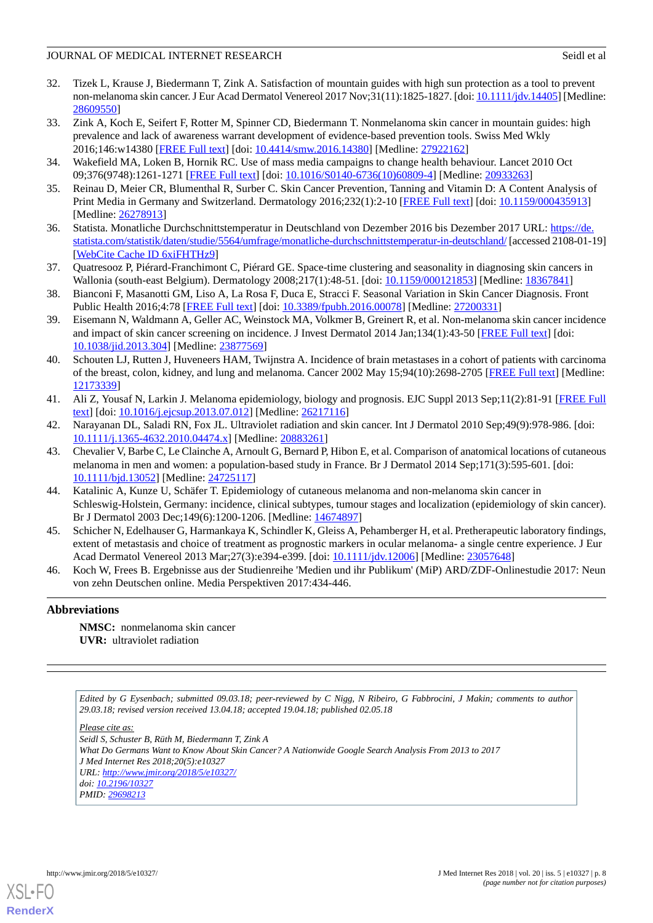#### JOURNAL OF MEDICAL INTERNET RESEARCH Seidlet also seidlet also seidlet also seidlet also seidlet also seidlet a

- 32. Tizek L, Krause J, Biedermann T, Zink A. Satisfaction of mountain guides with high sun protection as a tool to prevent non-melanoma skin cancer. J Eur Acad Dermatol Venereol 2017 Nov;31(11):1825-1827. [doi: [10.1111/jdv.14405\]](http://dx.doi.org/10.1111/jdv.14405) [Medline: [28609550](http://www.ncbi.nlm.nih.gov/entrez/query.fcgi?cmd=Retrieve&db=PubMed&list_uids=28609550&dopt=Abstract)]
- <span id="page-7-0"></span>33. Zink A, Koch E, Seifert F, Rotter M, Spinner CD, Biedermann T. Nonmelanoma skin cancer in mountain guides: high prevalence and lack of awareness warrant development of evidence-based prevention tools. Swiss Med Wkly 2016;146:w14380 [\[FREE Full text\]](http://doi.emh.ch/10.4414/smw.2016.14380) [doi: [10.4414/smw.2016.14380](http://dx.doi.org/10.4414/smw.2016.14380)] [Medline: [27922162](http://www.ncbi.nlm.nih.gov/entrez/query.fcgi?cmd=Retrieve&db=PubMed&list_uids=27922162&dopt=Abstract)]
- <span id="page-7-2"></span><span id="page-7-1"></span>34. Wakefield MA, Loken B, Hornik RC. Use of mass media campaigns to change health behaviour. Lancet 2010 Oct 09;376(9748):1261-1271 [[FREE Full text](http://europepmc.org/abstract/MED/20933263)] [doi: [10.1016/S0140-6736\(10\)60809-4\]](http://dx.doi.org/10.1016/S0140-6736(10)60809-4) [Medline: [20933263](http://www.ncbi.nlm.nih.gov/entrez/query.fcgi?cmd=Retrieve&db=PubMed&list_uids=20933263&dopt=Abstract)]
- <span id="page-7-3"></span>35. Reinau D, Meier CR, Blumenthal R, Surber C. Skin Cancer Prevention, Tanning and Vitamin D: A Content Analysis of Print Media in Germany and Switzerland. Dermatology 2016;232(1):2-10 [[FREE Full text](https://www.karger.com?DOI=10.1159/000435913)] [doi: [10.1159/000435913\]](http://dx.doi.org/10.1159/000435913) [Medline: [26278913](http://www.ncbi.nlm.nih.gov/entrez/query.fcgi?cmd=Retrieve&db=PubMed&list_uids=26278913&dopt=Abstract)]
- <span id="page-7-4"></span>36. Statista. Monatliche Durchschnittstemperatur in Deutschland von Dezember 2016 bis Dezember 2017 URL: [https://de.](https://de.statista.com/statistik/daten/studie/5564/umfrage/monatliche-durchschnittstemperatur-in-deutschland/) [statista.com/statistik/daten/studie/5564/umfrage/monatliche-durchschnittstemperatur-in-deutschland/](https://de.statista.com/statistik/daten/studie/5564/umfrage/monatliche-durchschnittstemperatur-in-deutschland/) [accessed 2108-01-19] [[WebCite Cache ID 6xiFHTHz9\]](http://www.webcitation.org/

                                6xiFHTHz9)
- <span id="page-7-5"></span>37. Quatresooz P, Piérard-Franchimont C, Piérard GE. Space-time clustering and seasonality in diagnosing skin cancers in Wallonia (south-east Belgium). Dermatology 2008;217(1):48-51. [doi: [10.1159/000121853\]](http://dx.doi.org/10.1159/000121853) [Medline: [18367841](http://www.ncbi.nlm.nih.gov/entrez/query.fcgi?cmd=Retrieve&db=PubMed&list_uids=18367841&dopt=Abstract)]
- <span id="page-7-6"></span>38. Bianconi F, Masanotti GM, Liso A, La Rosa F, Duca E, Stracci F. Seasonal Variation in Skin Cancer Diagnosis. Front Public Health 2016;4:78 [\[FREE Full text\]](https://dx.doi.org/10.3389/fpubh.2016.00078) [doi: [10.3389/fpubh.2016.00078](http://dx.doi.org/10.3389/fpubh.2016.00078)] [Medline: [27200331](http://www.ncbi.nlm.nih.gov/entrez/query.fcgi?cmd=Retrieve&db=PubMed&list_uids=27200331&dopt=Abstract)]
- <span id="page-7-7"></span>39. Eisemann N, Waldmann A, Geller AC, Weinstock MA, Volkmer B, Greinert R, et al. Non-melanoma skin cancer incidence and impact of skin cancer screening on incidence. J Invest Dermatol 2014 Jan;134(1):43-50 [[FREE Full text](https://linkinghub.elsevier.com/retrieve/pii/S0022-202X(15)36446-0)] [doi: [10.1038/jid.2013.304](http://dx.doi.org/10.1038/jid.2013.304)] [Medline: [23877569](http://www.ncbi.nlm.nih.gov/entrez/query.fcgi?cmd=Retrieve&db=PubMed&list_uids=23877569&dopt=Abstract)]
- <span id="page-7-8"></span>40. Schouten LJ, Rutten J, Huveneers HAM, Twijnstra A. Incidence of brain metastases in a cohort of patients with carcinoma of the breast, colon, kidney, and lung and melanoma. Cancer 2002 May 15;94(10):2698-2705 [[FREE Full text](http://onlinelibrary.wiley.com/resolve/openurl?genre=article&sid=nlm:pubmed&issn=0008-543X&date=2002&volume=94&issue=10&spage=2698)] [Medline: [12173339](http://www.ncbi.nlm.nih.gov/entrez/query.fcgi?cmd=Retrieve&db=PubMed&list_uids=12173339&dopt=Abstract)]
- <span id="page-7-9"></span>41. Ali Z, Yousaf N, Larkin J. Melanoma epidemiology, biology and prognosis. EJC Suppl 2013 Sep;11(2):81-91 [[FREE Full](https://linkinghub.elsevier.com/retrieve/pii/S1359-6349(13)00013-X) [text](https://linkinghub.elsevier.com/retrieve/pii/S1359-6349(13)00013-X)] [doi: [10.1016/j.ejcsup.2013.07.012](http://dx.doi.org/10.1016/j.ejcsup.2013.07.012)] [Medline: [26217116\]](http://www.ncbi.nlm.nih.gov/entrez/query.fcgi?cmd=Retrieve&db=PubMed&list_uids=26217116&dopt=Abstract)
- 42. Narayanan DL, Saladi RN, Fox JL. Ultraviolet radiation and skin cancer. Int J Dermatol 2010 Sep;49(9):978-986. [doi: [10.1111/j.1365-4632.2010.04474.x\]](http://dx.doi.org/10.1111/j.1365-4632.2010.04474.x) [Medline: [20883261\]](http://www.ncbi.nlm.nih.gov/entrez/query.fcgi?cmd=Retrieve&db=PubMed&list_uids=20883261&dopt=Abstract)
- <span id="page-7-10"></span>43. Chevalier V, Barbe C, Le Clainche A, Arnoult G, Bernard P, Hibon E, et al. Comparison of anatomical locations of cutaneous melanoma in men and women: a population-based study in France. Br J Dermatol 2014 Sep;171(3):595-601. [doi: [10.1111/bjd.13052](http://dx.doi.org/10.1111/bjd.13052)] [Medline: [24725117\]](http://www.ncbi.nlm.nih.gov/entrez/query.fcgi?cmd=Retrieve&db=PubMed&list_uids=24725117&dopt=Abstract)
- <span id="page-7-11"></span>44. Katalinic A, Kunze U, Schäfer T. Epidemiology of cutaneous melanoma and non-melanoma skin cancer in Schleswig-Holstein, Germany: incidence, clinical subtypes, tumour stages and localization (epidemiology of skin cancer). Br J Dermatol 2003 Dec;149(6):1200-1206. [Medline: [14674897\]](http://www.ncbi.nlm.nih.gov/entrez/query.fcgi?cmd=Retrieve&db=PubMed&list_uids=14674897&dopt=Abstract)
- <span id="page-7-12"></span>45. Schicher N, Edelhauser G, Harmankaya K, Schindler K, Gleiss A, Pehamberger H, et al. Pretherapeutic laboratory findings, extent of metastasis and choice of treatment as prognostic markers in ocular melanoma- a single centre experience. J Eur Acad Dermatol Venereol 2013 Mar;27(3):e394-e399. [doi: [10.1111/jdv.12006](http://dx.doi.org/10.1111/jdv.12006)] [Medline: [23057648](http://www.ncbi.nlm.nih.gov/entrez/query.fcgi?cmd=Retrieve&db=PubMed&list_uids=23057648&dopt=Abstract)]
- 46. Koch W, Frees B. Ergebnisse aus der Studienreihe 'Medien und ihr Publikum' (MiP) ARD/ZDF-Onlinestudie 2017: Neun von zehn Deutschen online. Media Perspektiven 2017:434-446.

### **Abbreviations**

**NMSC:** nonmelanoma skin cancer **UVR:** ultraviolet radiation

*Edited by G Eysenbach; submitted 09.03.18; peer-reviewed by C Nigg, N Ribeiro, G Fabbrocini, J Makin; comments to author 29.03.18; revised version received 13.04.18; accepted 19.04.18; published 02.05.18*

*Please cite as: Seidl S, Schuster B, Rüth M, Biedermann T, Zink A What Do Germans Want to Know About Skin Cancer? A Nationwide Google Search Analysis From 2013 to 2017 J Med Internet Res 2018;20(5):e10327 URL: <http://www.jmir.org/2018/5/e10327/> doi: [10.2196/10327](http://dx.doi.org/10.2196/10327) PMID: [29698213](http://www.ncbi.nlm.nih.gov/entrez/query.fcgi?cmd=Retrieve&db=PubMed&list_uids=29698213&dopt=Abstract)*